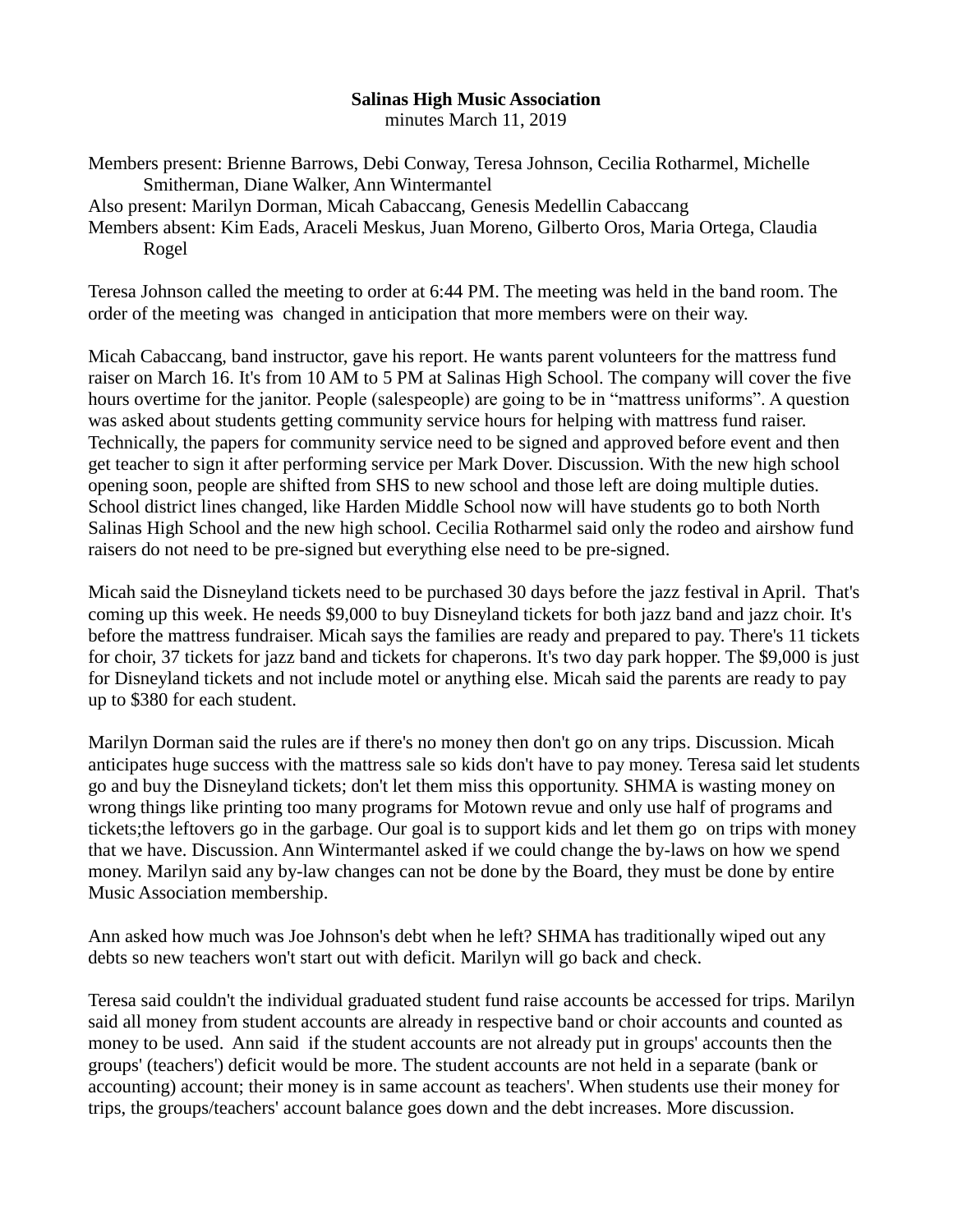## **Salinas High Music Association**

minutes March 11, 2019

Members present: Brienne Barrows, Debi Conway, Teresa Johnson, Cecilia Rotharmel, Michelle Smitherman, Diane Walker, Ann Wintermantel Also present: Marilyn Dorman, Micah Cabaccang, Genesis Medellin Cabaccang Members absent: Kim Eads, Araceli Meskus, Juan Moreno, Gilberto Oros, Maria Ortega, Claudia Rogel

Teresa Johnson called the meeting to order at 6:44 PM. The meeting was held in the band room. The order of the meeting was changed in anticipation that more members were on their way.

Micah Cabaccang, band instructor, gave his report. He wants parent volunteers for the mattress fund raiser on March 16. It's from 10 AM to 5 PM at Salinas High School. The company will cover the five hours overtime for the janitor. People (salespeople) are going to be in "mattress uniforms". A question was asked about students getting community service hours for helping with mattress fund raiser. Technically, the papers for community service need to be signed and approved before event and then get teacher to sign it after performing service per Mark Dover. Discussion. With the new high school opening soon, people are shifted from SHS to new school and those left are doing multiple duties. School district lines changed, like Harden Middle School now will have students go to both North Salinas High School and the new high school. Cecilia Rotharmel said only the rodeo and airshow fund raisers do not need to be pre-signed but everything else need to be pre-signed.

Micah said the Disneyland tickets need to be purchased 30 days before the jazz festival in April. That's coming up this week. He needs \$9,000 to buy Disneyland tickets for both jazz band and jazz choir. It's before the mattress fundraiser. Micah says the families are ready and prepared to pay. There's 11 tickets for choir, 37 tickets for jazz band and tickets for chaperons. It's two day park hopper. The \$9,000 is just for Disneyland tickets and not include motel or anything else. Micah said the parents are ready to pay up to \$380 for each student.

Marilyn Dorman said the rules are if there's no money then don't go on any trips. Discussion. Micah anticipates huge success with the mattress sale so kids don't have to pay money. Teresa said let students go and buy the Disneyland tickets; don't let them miss this opportunity. SHMA is wasting money on wrong things like printing too many programs for Motown revue and only use half of programs and tickets;the leftovers go in the garbage. Our goal is to support kids and let them go on trips with money that we have. Discussion. Ann Wintermantel asked if we could change the by-laws on how we spend money. Marilyn said any by-law changes can not be done by the Board, they must be done by entire Music Association membership.

Ann asked how much was Joe Johnson's debt when he left? SHMA has traditionally wiped out any debts so new teachers won't start out with deficit. Marilyn will go back and check.

Teresa said couldn't the individual graduated student fund raise accounts be accessed for trips. Marilyn said all money from student accounts are already in respective band or choir accounts and counted as money to be used. Ann said if the student accounts are not already put in groups' accounts then the groups' (teachers') deficit would be more. The student accounts are not held in a separate (bank or accounting) account; their money is in same account as teachers'. When students use their money for trips, the groups/teachers' account balance goes down and the debt increases. More discussion.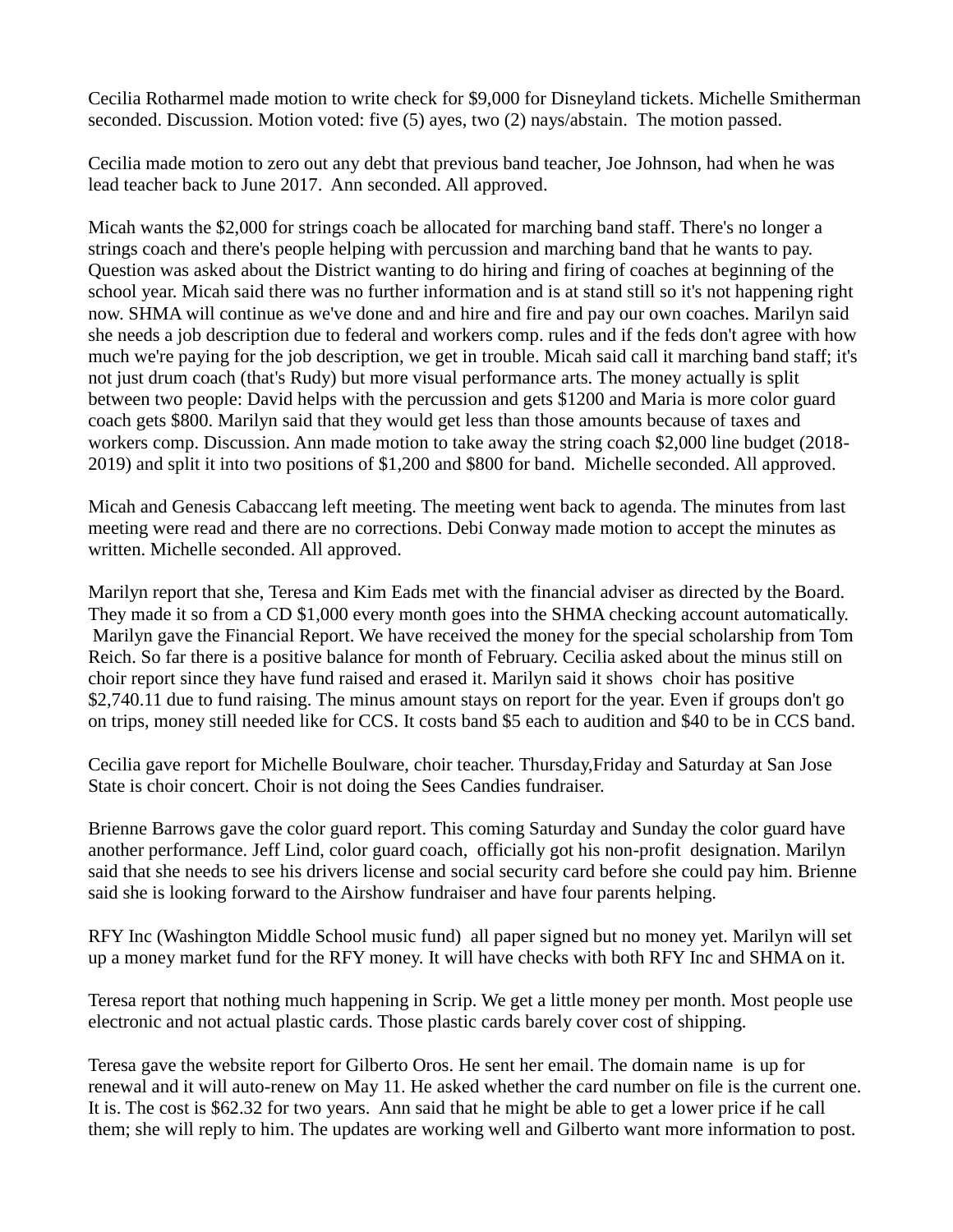Cecilia Rotharmel made motion to write check for \$9,000 for Disneyland tickets. Michelle Smitherman seconded. Discussion. Motion voted: five (5) ayes, two (2) nays/abstain. The motion passed.

Cecilia made motion to zero out any debt that previous band teacher, Joe Johnson, had when he was lead teacher back to June 2017. Ann seconded. All approved.

Micah wants the \$2,000 for strings coach be allocated for marching band staff. There's no longer a strings coach and there's people helping with percussion and marching band that he wants to pay. Question was asked about the District wanting to do hiring and firing of coaches at beginning of the school year. Micah said there was no further information and is at stand still so it's not happening right now. SHMA will continue as we've done and and hire and fire and pay our own coaches. Marilyn said she needs a job description due to federal and workers comp. rules and if the feds don't agree with how much we're paying for the job description, we get in trouble. Micah said call it marching band staff; it's not just drum coach (that's Rudy) but more visual performance arts. The money actually is split between two people: David helps with the percussion and gets \$1200 and Maria is more color guard coach gets \$800. Marilyn said that they would get less than those amounts because of taxes and workers comp. Discussion. Ann made motion to take away the string coach \$2,000 line budget (2018- 2019) and split it into two positions of \$1,200 and \$800 for band. Michelle seconded. All approved.

Micah and Genesis Cabaccang left meeting. The meeting went back to agenda. The minutes from last meeting were read and there are no corrections. Debi Conway made motion to accept the minutes as written. Michelle seconded. All approved.

Marilyn report that she, Teresa and Kim Eads met with the financial adviser as directed by the Board. They made it so from a CD \$1,000 every month goes into the SHMA checking account automatically. Marilyn gave the Financial Report. We have received the money for the special scholarship from Tom Reich. So far there is a positive balance for month of February. Cecilia asked about the minus still on choir report since they have fund raised and erased it. Marilyn said it shows choir has positive \$2,740.11 due to fund raising. The minus amount stays on report for the year. Even if groups don't go on trips, money still needed like for CCS. It costs band \$5 each to audition and \$40 to be in CCS band.

Cecilia gave report for Michelle Boulware, choir teacher. Thursday,Friday and Saturday at San Jose State is choir concert. Choir is not doing the Sees Candies fundraiser.

Brienne Barrows gave the color guard report. This coming Saturday and Sunday the color guard have another performance. Jeff Lind, color guard coach, officially got his non-profit designation. Marilyn said that she needs to see his drivers license and social security card before she could pay him. Brienne said she is looking forward to the Airshow fundraiser and have four parents helping.

RFY Inc (Washington Middle School music fund) all paper signed but no money yet. Marilyn will set up a money market fund for the RFY money. It will have checks with both RFY Inc and SHMA on it.

Teresa report that nothing much happening in Scrip. We get a little money per month. Most people use electronic and not actual plastic cards. Those plastic cards barely cover cost of shipping.

Teresa gave the website report for Gilberto Oros. He sent her email. The domain name is up for renewal and it will auto-renew on May 11. He asked whether the card number on file is the current one. It is. The cost is \$62.32 for two years. Ann said that he might be able to get a lower price if he call them; she will reply to him. The updates are working well and Gilberto want more information to post.